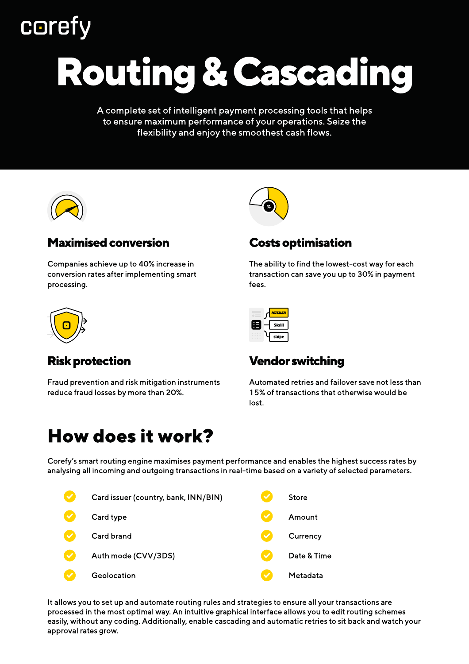## **coret**

# Routing & Cascading

A complete set of intelligent payment processing tools that helps to ensure maximum performance of your operations. Seize the flexibility and enjoy the smoothest cash flows.



### Maximised conversion

Сompanies achieve up to 40% increase in conversion rates after implementing smart processing.



## Risk protection

Fraud prevention and risk mitigation instruments reduce fraud losses by more than 20%.



#### Costs optimisation

The ability to find the lowest-cost way for each transaction can save you up to 30% in payment fees.



## Vendor switching

Automated retries and failover save not less than 15% of transactions that otherwise would be lost.

## How does it work?

Corefy's smart routing engine maximises payment performance and enables the highest success rates by analysing all incoming and outgoing transactions in real-time based on a variety of selected parameters.



It allows you to set up and automate routing rules and strategies to ensure all your transactions are processed in the most optimal way. An intuitive graphical interface allows you to edit routing schemes easily, without any coding. Additionally, enable cascading and automatic retries to sit back and watch your approval rates grow.